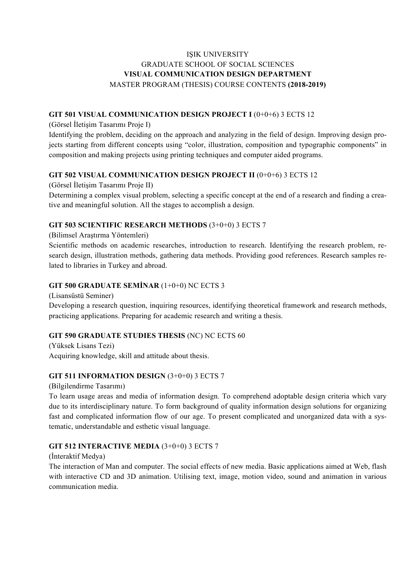# IŞIK UNIVERSITY GRADUATE SCHOOL OF SOCIAL SCIENCES **VISUAL COMMUNICATION DESIGN DEPARTMENT** MASTER PROGRAM (THESIS) COURSE CONTENTS **(2018-2019)**

#### **GIT 501 VISUAL COMMUNICATION DESIGN PROJECT I** (0+0+6) 3 ECTS 12

(Görsel İletişim Tasarımı Proje I)

Identifying the problem, deciding on the approach and analyzing in the field of design. Improving design projects starting from different concepts using "color, illustration, composition and typographic components" in composition and making projects using printing techniques and computer aided programs.

#### **GIT 502 VISUAL COMMUNICATION DESIGN PROJECT II** (0+0+6) 3 ECTS 12

(Görsel İletişim Tasarımı Proje II)

Determining a complex visual problem, selecting a specific concept at the end of a research and finding a creative and meaningful solution. All the stages to accomplish a design.

#### **GIT 503 SCIENTIFIC RESEARCH METHODS** (3+0+0) 3 ECTS 7

(Bilimsel Araştırma Yöntemleri)

Scientific methods on academic researches, introduction to research. Identifying the research problem, research design, illustration methods, gathering data methods. Providing good references. Research samples related to libraries in Turkey and abroad.

#### **GIT 500 GRADUATE SEMİNAR** (1+0+0) NC ECTS 3

(Lisansüstü Seminer)

Developing a research question, inquiring resources, identifying theoretical framework and research methods, practicing applications. Preparing for academic research and writing a thesis.

## **GIT 590 GRADUATE STUDIES THESIS** (NC) NC ECTS 60

(Yüksek Lisans Tezi) Acquiring knowledge, skill and attitude about thesis.

#### **GIT 511 INFORMATION DESIGN** (3+0+0) 3 ECTS 7

(Bilgilendirme Tasarımı)

To learn usage areas and media of information design. To comprehend adoptable design criteria which vary due to its interdisciplinary nature. To form background of quality information design solutions for organizing fast and complicated information flow of our age. To present complicated and unorganized data with a systematic, understandable and esthetic visual language.

#### **GIT 512 INTERACTIVE MEDIA** (3+0+0) 3 ECTS 7

(İnteraktif Medya)

The interaction of Man and computer. The social effects of new media. Basic applications aimed at Web, flash with interactive CD and 3D animation. Utilising text, image, motion video, sound and animation in various communication media.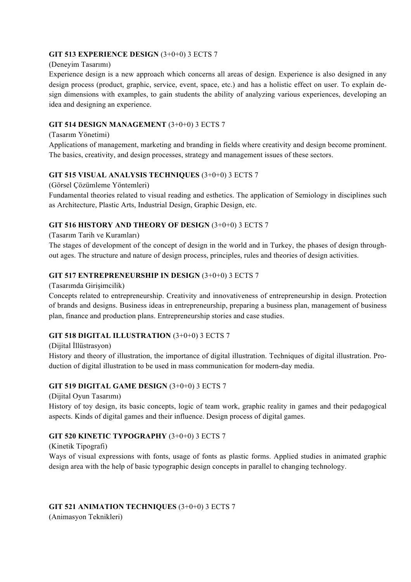## **GIT 513 EXPERIENCE DESIGN** (3+0+0) 3 ECTS 7

#### (Deneyim Tasarımı)

Experience design is a new approach which concerns all areas of design. Experience is also designed in any design process (product, graphic, service, event, space, etc.) and has a holistic effect on user. To explain design dimensions with examples, to gain students the ability of analyzing various experiences, developing an idea and designing an experience.

## **GIT 514 DESIGN MANAGEMENT** (3+0+0) 3 ECTS 7

#### (Tasarım Yönetimi)

Applications of management, marketing and branding in fields where creativity and design become prominent. The basics, creativity, and design processes, strategy and management issues of these sectors.

#### **GIT 515 VISUAL ANALYSIS TECHNIQUES** (3+0+0) 3 ECTS 7

(Görsel Çözümleme Yöntemleri)

Fundamental theories related to visual reading and esthetics. The application of Semiology in disciplines such as Architecture, Plastic Arts, Industrial Design, Graphic Design, etc.

## **GIT 516 HISTORY AND THEORY OF DESIGN** (3+0+0) 3 ECTS 7

(Tasarım Tarih ve Kuramları)

The stages of development of the concept of design in the world and in Turkey, the phases of design throughout ages. The structure and nature of design process, principles, rules and theories of design activities.

## **GIT 517 ENTREPRENEURSHIP IN DESIGN** (3+0+0) 3 ECTS 7

(Tasarımda Girişimcilik)

Concepts related to entrepreneurship. Creativity and innovativeness of entrepreneurship in design. Protection of brands and designs. Business ideas in entrepreneurship, preparing a business plan, management of business plan, finance and production plans. Entrepreneurship stories and case studies.

## **GIT 518 DIGITAL ILLUSTRATION** (3+0+0) 3 ECTS 7

(Dijital İllüstrasyon) History and theory of illustration, the importance of digital illustration. Techniques of digital illustration. Production of digital illustration to be used in mass communication for modern-day media.

## **GIT 519 DIGITAL GAME DESIGN** (3+0+0) 3 ECTS 7

(Dijital Oyun Tasarımı)

History of toy design, its basic concepts, logic of team work, graphic reality in games and their pedagogical aspects. Kinds of digital games and their influence. Design process of digital games.

## **GIT 520 KINETIC TYPOGRAPHY** (3+0+0) 3 ECTS 7

(Kinetik Tipografi)

Ways of visual expressions with fonts, usage of fonts as plastic forms. Applied studies in animated graphic design area with the help of basic typographic design concepts in parallel to changing technology.

## **GIT 521 ANIMATION TECHNIQUES** (3+0+0) 3 ECTS 7

(Animasyon Teknikleri)